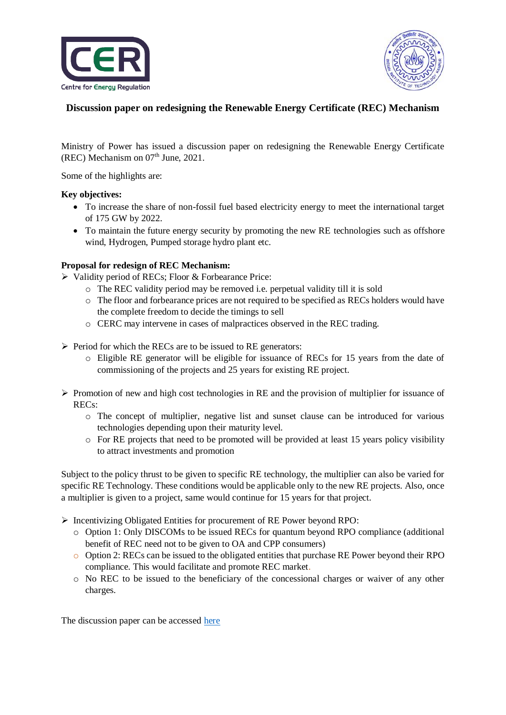



# **Discussion paper on redesigning the Renewable Energy Certificate (REC) Mechanism**

Ministry of Power has issued a discussion paper on redesigning the Renewable Energy Certificate (REC) Mechanism on  $07<sup>th</sup>$  June, 2021.

Some of the highlights are:

#### **Key objectives:**

- To increase the share of non-fossil fuel based electricity energy to meet the international target of 175 GW by 2022.
- To maintain the future energy security by promoting the new RE technologies such as offshore wind, Hydrogen, Pumped storage hydro plant etc.

### **Proposal for redesign of REC Mechanism:**

- $\triangleright$  Validity period of RECs; Floor & Forbearance Price:
	- o The REC validity period may be removed i.e. perpetual validity till it is sold
	- o The floor and forbearance prices are not required to be specified as RECs holders would have the complete freedom to decide the timings to sell
	- o CERC may intervene in cases of malpractices observed in the REC trading.
- $\triangleright$  Period for which the RECs are to be issued to RE generators:
	- o Eligible RE generator will be eligible for issuance of RECs for 15 years from the date of commissioning of the projects and 25 years for existing RE project.
- $\triangleright$  Promotion of new and high cost technologies in RE and the provision of multiplier for issuance of RECs:
	- o The concept of multiplier, negative list and sunset clause can be introduced for various technologies depending upon their maturity level.
	- o For RE projects that need to be promoted will be provided at least 15 years policy visibility to attract investments and promotion

Subject to the policy thrust to be given to specific RE technology, the multiplier can also be varied for specific RE Technology. These conditions would be applicable only to the new RE projects. Also, once a multiplier is given to a project, same would continue for 15 years for that project.

- Incentivizing Obligated Entities for procurement of RE Power beyond RPO:
	- o Option 1: Only DISCOMs to be issued RECs for quantum beyond RPO compliance (additional benefit of REC need not to be given to OA and CPP consumers)
	- o Option 2: RECs can be issued to the obligated entities that purchase RE Power beyond their RPO compliance. This would facilitate and promote REC market.
	- o No REC to be issued to the beneficiary of the concessional charges or waiver of any other charges.

The discussion paper can be accessed [here](https://cer.iitk.ac.in/odf_assets/upload_files/Revised_discussion_paper_on_REC_mechanism.pdf)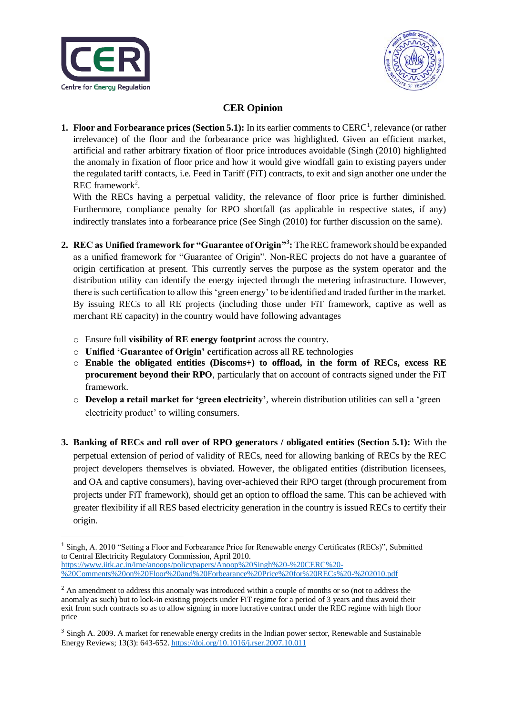

**.** 



# **CER Opinion**

**1. Floor and Forbearance prices (Section 5.1):** In its earlier comments to CERC<sup>1</sup>, relevance (or rather irrelevance) of the floor and the forbearance price was highlighted. Given an efficient market, artificial and rather arbitrary fixation of floor price introduces avoidable (Singh (2010) highlighted the anomaly in fixation of floor price and how it would give windfall gain to existing payers under the regulated tariff contacts, i.e. Feed in Tariff (FiT) contracts, to exit and sign another one under the REC framework<sup>2</sup>.

 With the RECs having a perpetual validity, the relevance of floor price is further diminished. Furthermore, compliance penalty for RPO shortfall (as applicable in respective states, if any) indirectly translates into a forbearance price (See Singh (2010) for further discussion on the same).

- **2. REC as Unified framework for "Guarantee of Origin"<sup>3</sup> :** The REC framework should be expanded as a unified framework for "Guarantee of Origin". Non-REC projects do not have a guarantee of origin certification at present. This currently serves the purpose as the system operator and the distribution utility can identify the energy injected through the metering infrastructure. However, there is such certification to allow this 'green energy' to be identified and traded further in the market. By issuing RECs to all RE projects (including those under FiT framework, captive as well as merchant RE capacity) in the country would have following advantages
	- o Ensure full **visibility of RE energy footprint** across the country.
	- o **Unified 'Guarantee of Origin' c**ertification across all RE technologies
	- o **Enable the obligated entities (Discoms+) to offload, in the form of RECs, excess RE procurement beyond their RPO**, particularly that on account of contracts signed under the FiT framework.
	- o **Develop a retail market for 'green electricity'**, wherein distribution utilities can sell a 'green electricity product' to willing consumers.
- **3. Banking of RECs and roll over of RPO generators / obligated entities (Section 5.1):** With the perpetual extension of period of validity of RECs, need for allowing banking of RECs by the REC project developers themselves is obviated. However, the obligated entities (distribution licensees, and OA and captive consumers), having over-achieved their RPO target (through procurement from projects under FiT framework), should get an option to offload the same. This can be achieved with greater flexibility if all RES based electricity generation in the country is issued RECs to certify their origin.

<sup>&</sup>lt;sup>1</sup> Singh, A. 2010 "Setting a Floor and Forbearance Price for Renewable energy Certificates (RECs)", Submitted to Central Electricity Regulatory Commission, April 2010. https://www.iitk.ac.in/ime/anoops/policypapers/Anoop%20Singh%20-%20CERC%20- %20Comments%20on%20Floor%20and%20Forbearance%20Price%20for%20RECs%20-%202010.pdf

<sup>&</sup>lt;sup>2</sup> An amendment to address this anomaly was introduced within a couple of months or so (not to address the anomaly as such) but to lock-in existing projects under FiT regime for a period of 3 years and thus avoid their exit from such contracts so as to allow signing in more lucrative contract under the REC regime with high floor price

<sup>&</sup>lt;sup>3</sup> Singh A. 2009. A market for renewable energy credits in the Indian power sector, Renewable and Sustainable Energy Reviews; 13(3): 643-652. https://doi.org/10.1016/j.rser.2007.10.011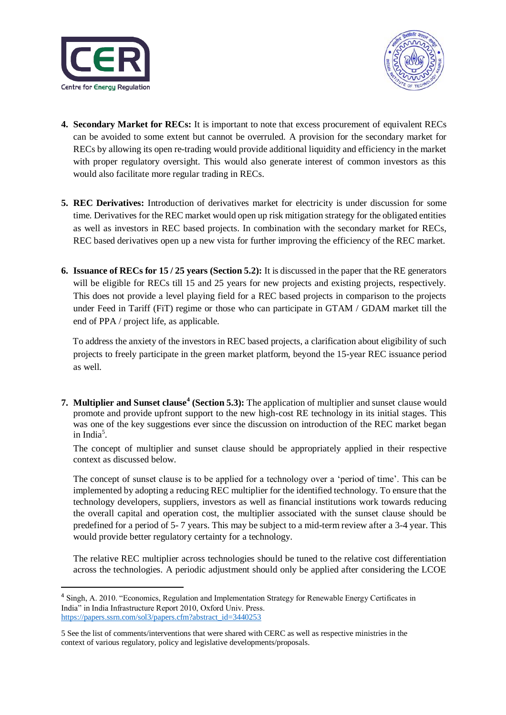

**.** 



- **4. Secondary Market for RECs:** It is important to note that excess procurement of equivalent RECs can be avoided to some extent but cannot be overruled. A provision for the secondary market for RECs by allowing its open re-trading would provide additional liquidity and efficiency in the market with proper regulatory oversight. This would also generate interest of common investors as this would also facilitate more regular trading in RECs.
- **5. REC Derivatives:** Introduction of derivatives market for electricity is under discussion for some time. Derivatives for the REC market would open up risk mitigation strategy for the obligated entities as well as investors in REC based projects. In combination with the secondary market for RECs, REC based derivatives open up a new vista for further improving the efficiency of the REC market.
- **6. Issuance of RECs for 15 / 25 years (Section 5.2):** It is discussed in the paper that the RE generators will be eligible for RECs till 15 and 25 years for new projects and existing projects, respectively. This does not provide a level playing field for a REC based projects in comparison to the projects under Feed in Tariff (FiT) regime or those who can participate in GTAM / GDAM market till the end of PPA / project life, as applicable.

 To address the anxiety of the investors in REC based projects, a clarification about eligibility of such projects to freely participate in the green market platform, beyond the 15-year REC issuance period as well.

**7. Multiplier and Sunset clause<sup>4</sup>** (Section 5.3): The application of multiplier and sunset clause would promote and provide upfront support to the new high-cost RE technology in its initial stages. This was one of the key suggestions ever since the discussion on introduction of the REC market began in India<sup>5</sup>.

The concept of multiplier and sunset clause should be appropriately applied in their respective context as discussed below.

The concept of sunset clause is to be applied for a technology over a 'period of time'. This can be implemented by adopting a reducing REC multiplier for the identified technology. To ensure that the technology developers, suppliers, investors as well as financial institutions work towards reducing the overall capital and operation cost, the multiplier associated with the sunset clause should be predefined for a period of 5- 7 years. This may be subject to a mid-term review after a 3-4 year. This would provide better regulatory certainty for a technology.

The relative REC multiplier across technologies should be tuned to the relative cost differentiation across the technologies. A periodic adjustment should only be applied after considering the LCOE

<sup>&</sup>lt;sup>4</sup> Singh, A. 2010. "Economics, Regulation and Implementation Strategy for Renewable Energy Certificates in India" in India Infrastructure Report 2010, Oxford Univ. Press. https://papers.ssrn.com/sol3/papers.cfm?abstract\_id=3440253

<sup>5</sup> See the list of comments/interventions that were shared with CERC as well as respective ministries in the context of various regulatory, policy and legislative developments/proposals.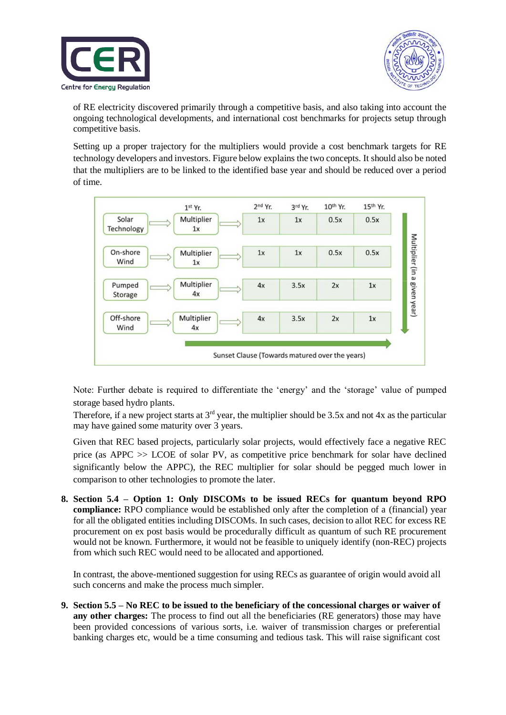



of RE electricity discovered primarily through a competitive basis, and also taking into account the ongoing technological developments, and international cost benchmarks for projects setup through competitive basis.

Setting up a proper trajectory for the multipliers would provide a cost benchmark targets for RE technology developers and investors. Figure below explains the two concepts. It should also be noted that the multipliers are to be linked to the identified base year and should be reduced over a period of time.



Note: Further debate is required to differentiate the 'energy' and the 'storage' value of pumped storage based hydro plants.

Therefore, if a new project starts at  $3<sup>rd</sup>$  year, the multiplier should be 3.5x and not 4x as the particular may have gained some maturity over 3 years.

Given that REC based projects, particularly solar projects, would effectively face a negative REC price (as APPC >> LCOE of solar PV, as competitive price benchmark for solar have declined significantly below the APPC), the REC multiplier for solar should be pegged much lower in comparison to other technologies to promote the later.

**8. Section 5.4 – Option 1: Only DISCOMs to be issued RECs for quantum beyond RPO compliance:** RPO compliance would be established only after the completion of a (financial) year for all the obligated entities including DISCOMs. In such cases, decision to allot REC for excess RE procurement on ex post basis would be procedurally difficult as quantum of such RE procurement would not be known. Furthermore, it would not be feasible to uniquely identify (non-REC) projects from which such REC would need to be allocated and apportioned.

In contrast, the above-mentioned suggestion for using RECs as guarantee of origin would avoid all such concerns and make the process much simpler.

**9. Section 5.5 – No REC to be issued to the beneficiary of the concessional charges or waiver of any other charges:** The process to find out all the beneficiaries (RE generators) those may have been provided concessions of various sorts, i.e. waiver of transmission charges or preferential banking charges etc, would be a time consuming and tedious task. This will raise significant cost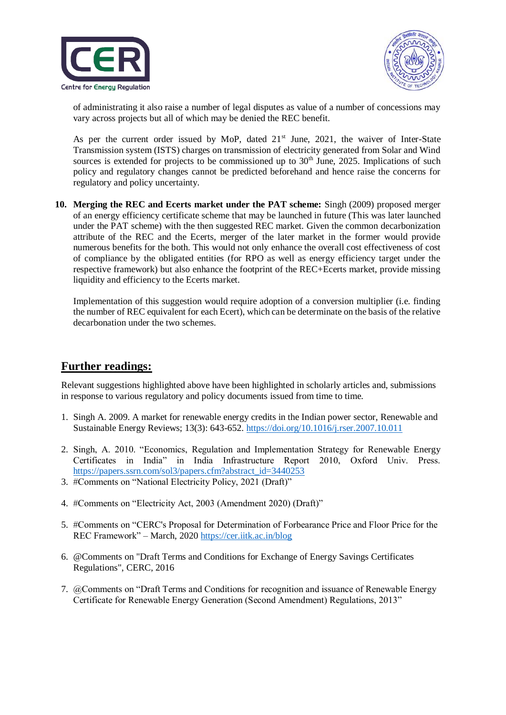



of administrating it also raise a number of legal disputes as value of a number of concessions may vary across projects but all of which may be denied the REC benefit.

As per the current order issued by MoP, dated  $21<sup>st</sup>$  June, 2021, the waiver of Inter-State Transmission system (ISTS) charges on transmission of electricity generated from Solar and Wind sources is extended for projects to be commissioned up to  $30<sup>th</sup>$  June, 2025. Implications of such policy and regulatory changes cannot be predicted beforehand and hence raise the concerns for regulatory and policy uncertainty.

**10. Merging the REC and Ecerts market under the PAT scheme:** Singh (2009) proposed merger of an energy efficiency certificate scheme that may be launched in future (This was later launched under the PAT scheme) with the then suggested REC market. Given the common decarbonization attribute of the REC and the Ecerts, merger of the later market in the former would provide numerous benefits for the both. This would not only enhance the overall cost effectiveness of cost of compliance by the obligated entities (for RPO as well as energy efficiency target under the respective framework) but also enhance the footprint of the REC+Ecerts market, provide missing liquidity and efficiency to the Ecerts market.

Implementation of this suggestion would require adoption of a conversion multiplier (i.e. finding the number of REC equivalent for each Ecert), which can be determinate on the basis of the relative decarbonation under the two schemes.

# **Further readings:**

Relevant suggestions highlighted above have been highlighted in scholarly articles and, submissions in response to various regulatory and policy documents issued from time to time.

- 1. Singh A. 2009. A market for renewable energy credits in the Indian power sector, Renewable and Sustainable Energy Reviews; 13(3): 643-652. https://doi.org/10.1016/j.rser.2007.10.011
- 2. Singh, A. 2010. "Economics, Regulation and Implementation Strategy for Renewable Energy Certificates in India" in India Infrastructure Report 2010, Oxford Univ. Press. https://papers.ssrn.com/sol3/papers.cfm?abstract\_id=3440253
- 3. #Comments on "National Electricity Policy, 2021 (Draft)"
- 4. #Comments on "Electricity Act, 2003 (Amendment 2020) (Draft)"
- 5. #Comments on "CERC's Proposal for Determination of Forbearance Price and Floor Price for the REC Framework" – March, 2020 https://cer.iitk.ac.in/blog
- 6. @Comments on "Draft Terms and Conditions for Exchange of Energy Savings Certificates Regulations", CERC, 2016
- 7. @Comments on "Draft Terms and Conditions for recognition and issuance of Renewable Energy Certificate for Renewable Energy Generation (Second Amendment) Regulations, 2013"